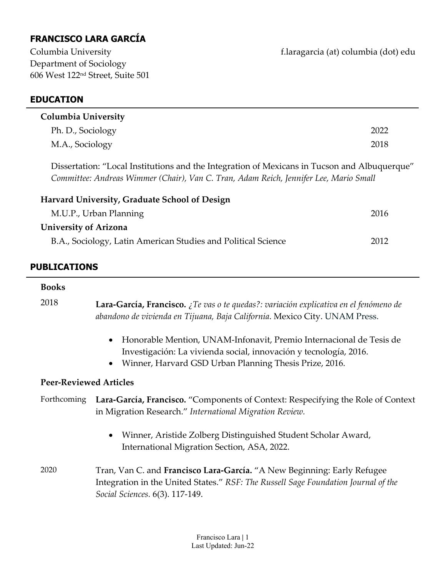# **FRANCISCO LARA GARCÍA**

| Columbia University                                                                                                                                                                   |      |  |
|---------------------------------------------------------------------------------------------------------------------------------------------------------------------------------------|------|--|
| Ph. D., Sociology                                                                                                                                                                     | 2022 |  |
| M.A., Sociology                                                                                                                                                                       | 2018 |  |
| Dissertation: "Local Institutions and the Integration of Mexicans in Tucson and Albuquerque"<br>Committee: Andreas Wimmer (Chair), Van C. Tran, Adam Reich, Jennifer Lee, Mario Small |      |  |
| Harvard University, Graduate School of Design                                                                                                                                         |      |  |
| M.U.P., Urban Planning                                                                                                                                                                | 2016 |  |
| <b>University of Arizona</b>                                                                                                                                                          |      |  |
| B.A., Sociology, Latin American Studies and Political Science                                                                                                                         | 2012 |  |
|                                                                                                                                                                                       |      |  |

### **PUBLICATIONS**

# **Books** 2018 **Lara‐García, Francisco.** *¿Te vas o te quedas?: variación explicativa en el fenómeno de abandono de vivienda en Tijuana, Baja California*. Mexico City. UNAM Press.

- Honorable Mention, UNAM‐Infonavit, Premio Internacional de Tesis de Investigación: La vivienda social, innovación y tecnología, 2016.
- Winner, Harvard GSD Urban Planning Thesis Prize, 2016.

### **Peer‐Reviewed Articles**

### Forthcoming **Lara‐García, Francisco.** "Components of Context: Respecifying the Role of Context in Migration Research." *International Migration Review.*

- Winner, Aristide Zolberg Distinguished Student Scholar Award, International Migration Section, ASA, 2022.
- 2020 Tran, Van C. and **Francisco Lara‐García.** "A New Beginning: Early Refugee Integration in the United States." *RSF: The Russell Sage Foundation Journal of the Social Sciences.* 6(3). 117‐149.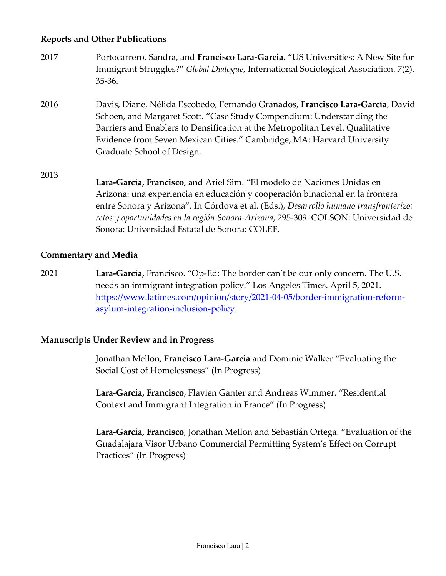### **Reports and Other Publications**

- 2017 Portocarrero, Sandra, and **Francisco Lara‐García.** "US Universities: A New Site for Immigrant Struggles?" *Global Dialogue*, International Sociological Association. 7(2). 35‐36.
- 2016 Davis, Diane, Nélida Escobedo, Fernando Granados, **Francisco Lara‐García**, David Schoen, and Margaret Scott. "Case Study Compendium: Understanding the Barriers and Enablers to Densification at the Metropolitan Level. Qualitative Evidence from Seven Mexican Cities." Cambridge, MA: Harvard University Graduate School of Design.
- 2013 **Lara‐García, Francisco**, and Ariel Sim. "El modelo de Naciones Unidas en Arizona: una experiencia en educación y cooperación binacional en la frontera entre Sonora y Arizona". In Córdova et al. (Eds.), *Desarrollo humano transfronterizo: retos y oportunidades en la región Sonora‐Arizona*, 295‐309: COLSON: Universidad de Sonora: Universidad Estatal de Sonora: COLEF.

### **Commentary and Media**

2021 **Lara‐García,** Francisco. "Op‐Ed: The border can't be our only concern. The U.S. needs an immigrant integration policy." Los Angeles Times. April 5, 2021. https://www.latimes.com/opinion/story/2021‐04‐05/border‐immigration‐reform‐ asylum‐integration‐inclusion‐policy

#### **Manuscripts Under Review and in Progress**

Jonathan Mellon, **Francisco Lara‐García** and Dominic Walker "Evaluating the Social Cost of Homelessness" (In Progress)

**Lara‐García, Francisco**, Flavien Ganter and Andreas Wimmer. "Residential Context and Immigrant Integration in France" (In Progress)

**Lara‐García, Francisco**, Jonathan Mellon and Sebastián Ortega. "Evaluation of the Guadalajara Visor Urbano Commercial Permitting System's Effect on Corrupt Practices" (In Progress)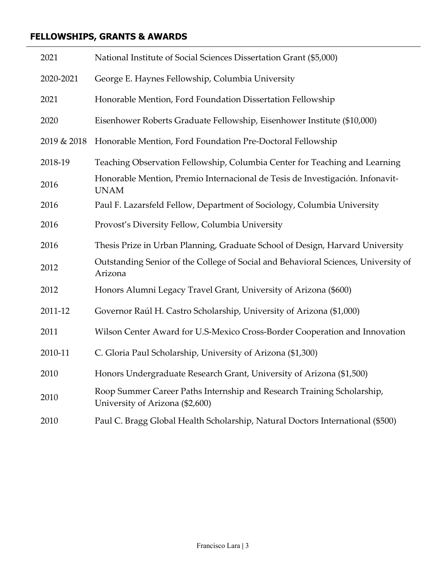## **FELLOWSHIPS, GRANTS & AWARDS**

| 2021        | National Institute of Social Sciences Dissertation Grant (\$5,000)                                        |
|-------------|-----------------------------------------------------------------------------------------------------------|
| 2020-2021   | George E. Haynes Fellowship, Columbia University                                                          |
| 2021        | Honorable Mention, Ford Foundation Dissertation Fellowship                                                |
| 2020        | Eisenhower Roberts Graduate Fellowship, Eisenhower Institute (\$10,000)                                   |
| 2019 & 2018 | Honorable Mention, Ford Foundation Pre-Doctoral Fellowship                                                |
| 2018-19     | Teaching Observation Fellowship, Columbia Center for Teaching and Learning                                |
| 2016        | Honorable Mention, Premio Internacional de Tesis de Investigación. Infonavit-<br><b>UNAM</b>              |
| 2016        | Paul F. Lazarsfeld Fellow, Department of Sociology, Columbia University                                   |
| 2016        | Provosť's Diversity Fellow, Columbia University                                                           |
| 2016        | Thesis Prize in Urban Planning, Graduate School of Design, Harvard University                             |
| 2012        | Outstanding Senior of the College of Social and Behavioral Sciences, University of<br>Arizona             |
| 2012        | Honors Alumni Legacy Travel Grant, University of Arizona (\$600)                                          |
| 2011-12     | Governor Raúl H. Castro Scholarship, University of Arizona (\$1,000)                                      |
| 2011        | Wilson Center Award for U.S-Mexico Cross-Border Cooperation and Innovation                                |
| 2010-11     | C. Gloria Paul Scholarship, University of Arizona (\$1,300)                                               |
| 2010        | Honors Undergraduate Research Grant, University of Arizona (\$1,500)                                      |
| 2010        | Roop Summer Career Paths Internship and Research Training Scholarship,<br>University of Arizona (\$2,600) |
| 2010        | Paul C. Bragg Global Health Scholarship, Natural Doctors International (\$500)                            |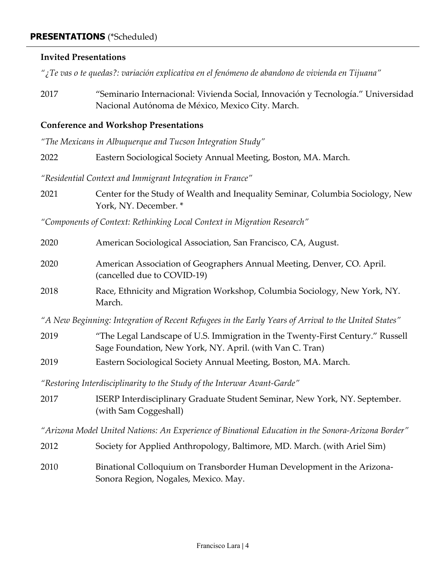#### **PRESENTATIONS** (\*Scheduled)

#### **Invited Presentations**

*"¿Te vas o te quedas?: variación explicativa en el fenómeno de abandono de vivienda en Tijuana"* 

2017 "Seminario Internacional: Vivienda Social, Innovación y Tecnología." Universidad Nacional Autónoma de México, Mexico City. March.

### **Conference and Workshop Presentations**

*"The Mexicans in Albuquerque and Tucson Integration Study"*

| 2022 | Eastern Sociological Society Annual Meeting, Boston, MA. March. |
|------|-----------------------------------------------------------------|
|      |                                                                 |

*"Residential Context and Immigrant Integration in France"*

2021 Center for the Study of Wealth and Inequality Seminar, Columbia Sociology, New York, NY. December. \*

*"Components of Context: Rethinking Local Context in Migration Research"*

| 2020                                                                                                 | American Sociological Association, San Francisco, CA, August.                                                                              |  |
|------------------------------------------------------------------------------------------------------|--------------------------------------------------------------------------------------------------------------------------------------------|--|
| 2020                                                                                                 | American Association of Geographers Annual Meeting, Denver, CO. April.<br>(cancelled due to COVID-19)                                      |  |
| 2018                                                                                                 | Race, Ethnicity and Migration Workshop, Columbia Sociology, New York, NY.<br>March.                                                        |  |
| "A New Beginning: Integration of Recent Refugees in the Early Years of Arrival to the United States" |                                                                                                                                            |  |
| 2019                                                                                                 | "The Legal Landscape of U.S. Immigration in the Twenty-First Century." Russell<br>Sage Foundation, New York, NY. April. (with Van C. Tran) |  |
| 2019                                                                                                 | Eastern Sociological Society Annual Meeting, Boston, MA. March.                                                                            |  |
| "Restoring Interdisciplinarity to the Study of the Interwar Avant-Garde"                             |                                                                                                                                            |  |
| 2017                                                                                                 | ISERP Interdisciplinary Graduate Student Seminar, New York, NY. September.<br>(with Sam Coggeshall)                                        |  |
| "Arizona Model United Nations: An Experience of Binational Education in the Sonora-Arizona Border"   |                                                                                                                                            |  |
| 2012                                                                                                 | Society for Applied Anthropology, Baltimore, MD. March. (with Ariel Sim)                                                                   |  |
| 2010                                                                                                 | Binational Colloquium on Transborder Human Development in the Arizona-                                                                     |  |